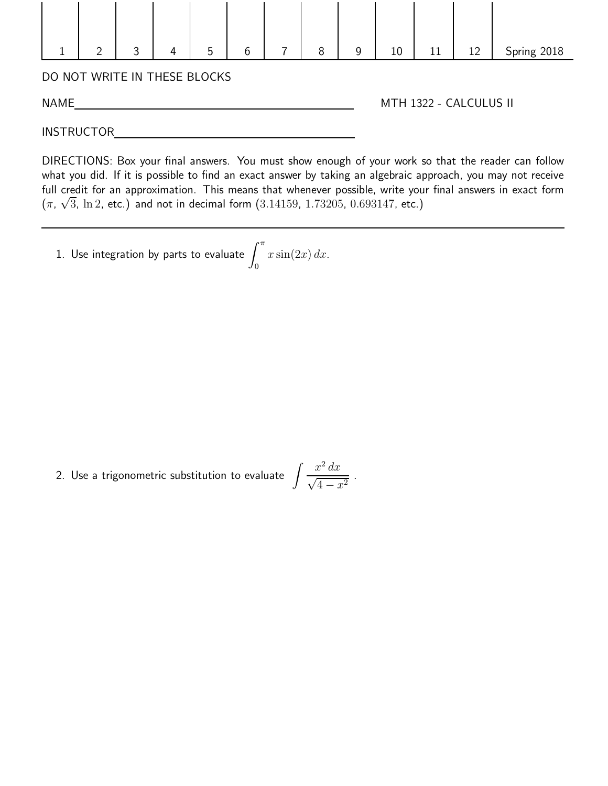

INSTRUCTOR

DIRECTIONS: Box your final answers. You must show enough of your work so that the reader can follow what you did. If it is possible to find an exact answer by taking an algebraic approach, you may not receive full credit for an approximation. This means that whenever possible, write your final answers in exact form ( $\pi$ ,  $\sqrt{3}$ , ln 2, etc.) and not in decimal form  $(3.14159, 1.73205, 0.693147,$  etc.)

1. Use integration by parts to evaluate  $\int^{\pi}$  $\overline{0}$  $x \sin(2x) dx$ .

2. Use a trigonometric substitution to evaluate  $\int \frac{x^2 dx}{\sqrt{2\pi}}$  $\frac{x}{\sqrt{4-x^2}}$ .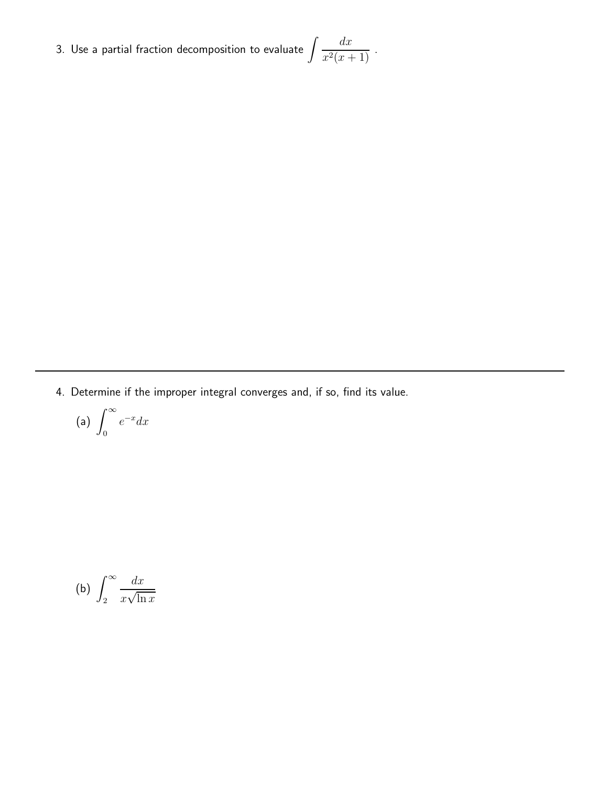3. Use a partial fraction decomposition to evaluate  $\int \frac{dx}{2\sqrt{2\pi}}$  $\frac{d}{x^2(x+1)}$ .

4. Determine if the improper integral converges and, if so, find its value.

$$
(a) \int_0^\infty e^{-x} dx
$$

(b) 
$$
\int_2^{\infty} \frac{dx}{x\sqrt{\ln x}}
$$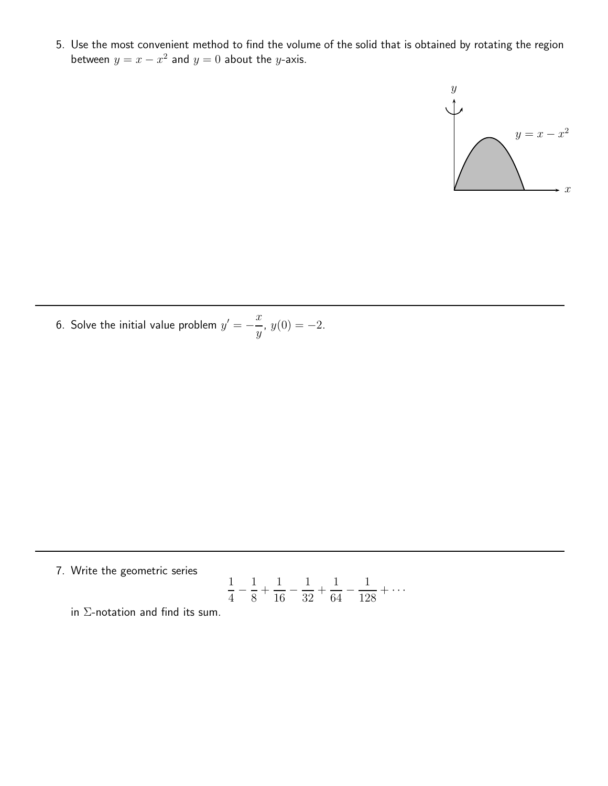5. Use the most convenient method to find the volume of the solid that is obtained by rotating the region between  $y = x - x^2$  and  $y = 0$  about the y-axis.



6. Solve the initial value problem  $y'=-\frac{x}{y}$  $\frac{d}{y}$ ,  $y(0) = -2$ .

7. Write the geometric series

$$
\frac{1}{4} - \frac{1}{8} + \frac{1}{16} - \frac{1}{32} + \frac{1}{64} - \frac{1}{128} + \cdots
$$

in Σ-notation and find its sum.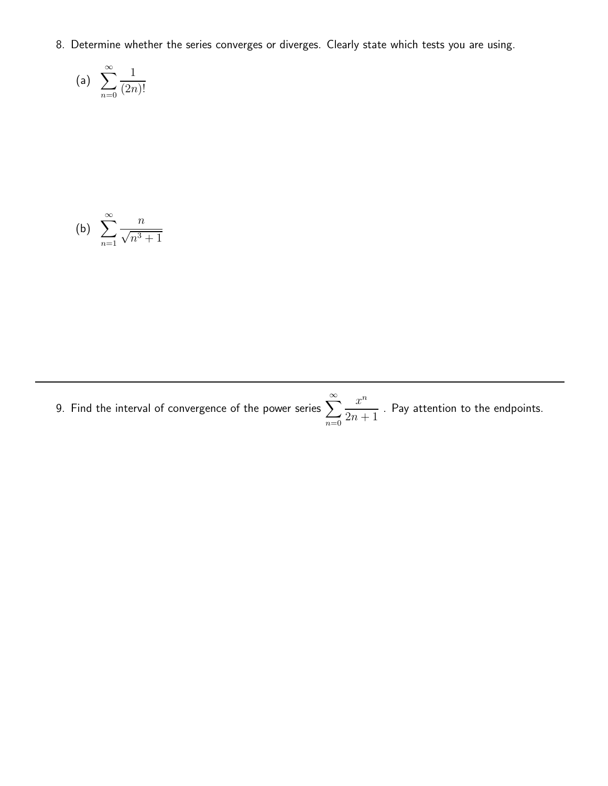8. Determine whether the series converges or diverges. Clearly state which tests you are using.

(a) 
$$
\sum_{n=0}^{\infty} \frac{1}{(2n)!}
$$

(b) 
$$
\sum_{n=1}^{\infty} \frac{n}{\sqrt{n^3+1}}
$$

9. Find the interval of convergence of the power series  $\sum_{n=0}^{\infty}$  $n=0$  $x^n$  $\frac{x}{2n+1}$  . Pay attention to the endpoints.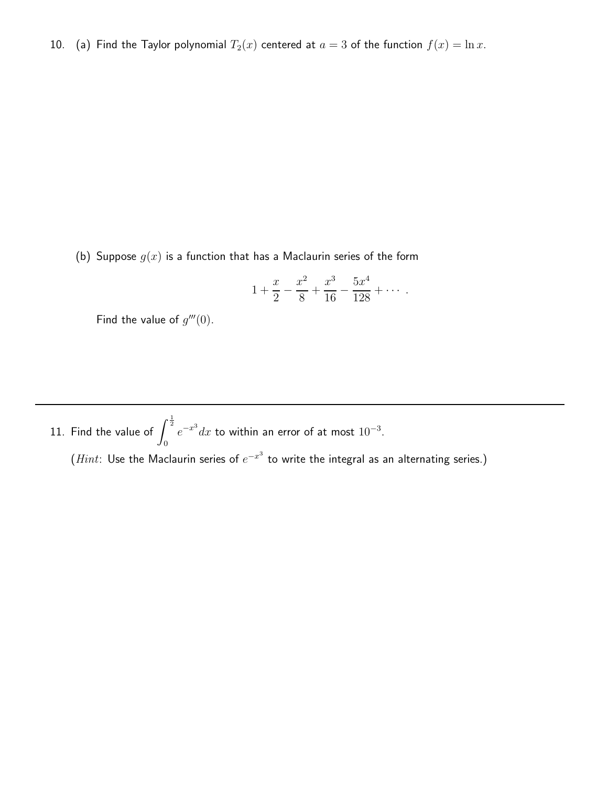10. (a) Find the Taylor polynomial  $T_2(x)$  centered at  $a = 3$  of the function  $f(x) = \ln x$ .

(b) Suppose  $g(x)$  is a function that has a Maclaurin series of the form

$$
1 + \frac{x}{2} - \frac{x^2}{8} + \frac{x^3}{16} - \frac{5x^4}{128} + \cdots
$$

Find the value of  $g'''(0)$ .

11. Find the value of  $\int^{\frac{1}{2}}$  $\overline{0}$  $e^{-x^3}dx$  to within an error of at most  $10^{-3}$ .

 $(Hint:$  Use the Maclaurin series of  $e^{-x^3}$  to write the integral as an alternating series.)